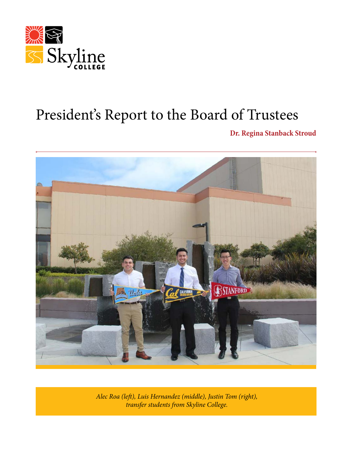

# President's Report to the Board of Trustees

**Dr. Regina Stanback Stroud**



*Alec Roa (left), Luis Hernandez (middle), Justin Tom (right), transfer students from Skyline College.*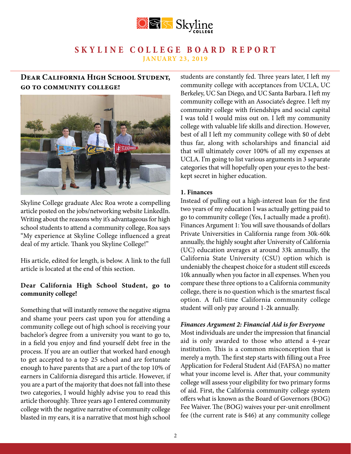

# **Dear California High School Student, go to community college!**



Skyline College graduate Alec Roa wrote a compelling article posted on the jobs/networking website LinkedIn. Writing about the reasons why it's advantageous for high school students to attend a community college, Roa says "My experience at Skyline College influenced a great deal of my article. Thank you Skyline College!"

His article, edited for length, is below. A link to the full article is located at the end of this section.

### **Dear California High School Student, go to community college!**

Something that will instantly remove the negative stigma and shame your peers cast upon you for attending a community college out of high school is receiving your bachelor's degree from a university you want to go to, in a field you enjoy and find yourself debt free in the process. If you are an outlier that worked hard enough to get accepted to a top 25 school and are fortunate enough to have parents that are a part of the top 10% of earners in California disregard this article. However, if you are a part of the majority that does not fall into these two categories, I would highly advise you to read this article thoroughly. Three years ago I entered community college with the negative narrative of community college blasted in my ears, it is a narrative that most high school

students are constantly fed. Three years later, I left my community college with acceptances from UCLA, UC Berkeley, UC San Diego, and UC Santa Barbara. I left my community college with an Associate's degree. I left my community college with friendships and social capital I was told I would miss out on. I left my community college with valuable life skills and direction. However, best of all I left my community college with \$0 of debt thus far, along with scholarships and financial aid that will ultimately cover 100% of all my expenses at UCLA. I'm going to list various arguments in 3 separate categories that will hopefully open your eyes to the bestkept secret in higher education.

### **1. Finances**

Instead of pulling out a high-interest loan for the first two years of my education I was actually getting paid to go to community college (Yes, I actually made a profit). Finances Argument 1: You will save thousands of dollars Private Universities in California range from 30k-60k annually, the highly sought after University of California (UC) education averages at around 33k annually, the California State University (CSU) option which is undeniably the cheapest choice for a student still exceeds 10k annually when you factor in all expenses. When you compare these three options to a California community college, there is no question which is the smartest fiscal option. A full-time California community college student will only pay around 1-2k annually.

#### *Finances Argument 2: Financial Aid is for Everyone*

Most individuals are under the impression that financial aid is only awarded to those who attend a 4-year institution. This is a common misconception that is merely a myth. The first step starts with filling out a Free Application for Federal Student Aid (FAFSA) no matter what your income level is. After that, your community college will assess your eligibility for two primary forms of aid. First, the California community college system offers what is known as the Board of Governors (BOG) Fee Waiver. The (BOG) waives your per-unit enrollment fee (the current rate is \$46) at any community college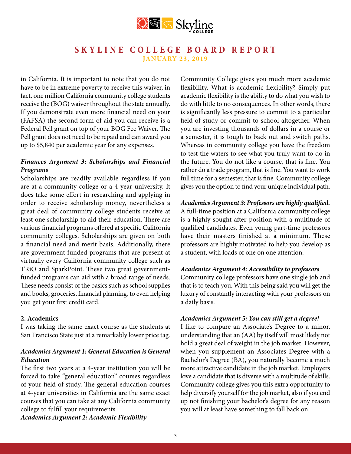

in California. It is important to note that you do not have to be in extreme poverty to receive this waiver, in fact, one million California community college students receive the (BOG) waiver throughout the state annually. If you demonstrate even more financial need on your (FAFSA) the second form of aid you can receive is a Federal Pell grant on top of your BOG Fee Waiver. The Pell grant does not need to be repaid and can award you up to \$5,840 per academic year for any expenses.

### *Finances Argument 3: Scholarships and Financial Programs*

Scholarships are readily available regardless if you are at a community college or a 4-year university. It does take some effort in researching and applying in order to receive scholarship money, nevertheless a great deal of community college students receive at least one scholarship to aid their education. There are various financial programs offered at specific California community colleges. Scholarships are given on both a financial need and merit basis. Additionally, there are government funded programs that are present at virtually every California community college such as TRiO and SparkPoint. These two great governmentfunded programs can aid with a broad range of needs. These needs consist of the basics such as school supplies and books, groceries, financial planning, to even helping you get your first credit card.

#### **2. Academics**

I was taking the same exact course as the students at San Francisco State just at a remarkably lower price tag.

### *Academics Argument 1: General Education is General Education*

The first two years at a 4-year institution you will be forced to take "general education" courses regardless of your field of study. The general education courses at 4-year universities in California are the same exact courses that you can take at any California community college to fulfill your requirements.

*Academics Argument 2: Academic Flexibility*

Community College gives you much more academic flexibility. What is academic flexibility? Simply put academic flexibility is the ability to do what you wish to do with little to no consequences. In other words, there is significantly less pressure to commit to a particular field of study or commit to school altogether. When you are investing thousands of dollars in a course or a semester, it is tough to back out and switch paths. Whereas in community college you have the freedom to test the waters to see what you truly want to do in the future. You do not like a course, that is fine. You rather do a trade program, that is fine. You want to work full time for a semester, that is fine. Community college gives you the option to find your unique individual path.

### *Academics Argument 3: Professors are highly qualified.*

A full-time position at a California community college is a highly sought after position with a multitude of qualified candidates. Even young part-time professors have their masters finished at a minimum. These professors are highly motivated to help you develop as a student, with loads of one on one attention.

### *Academics Argument 4: Accessibility to professors*

Community college professors have one single job and that is to teach you. With this being said you will get the luxury of constantly interacting with your professors on a daily basis.

### *Academics Argument 5: You can still get a degree!*

I like to compare an Associate's Degree to a minor, understanding that an (AA) by itself will most likely not hold a great deal of weight in the job market. However, when you supplement an Associates Degree with a Bachelor's Degree (BA), you naturally become a much more attractive candidate in the job market. Employers love a candidate that is diverse with a multitude of skills. Community college gives you this extra opportunity to help diversify yourself for the job market, also if you end up not finishing your bachelor's degree for any reason you will at least have something to fall back on.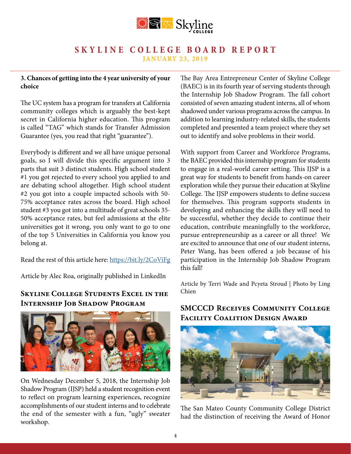

### **3. Chances of getting into the 4 year university of your choice**

The UC system has a program for transfers at California community colleges which is arguably the best-kept secret in California higher education. This program is called "TAG" which stands for Transfer Admission Guarantee (yes, you read that right "guarantee").

Everybody is different and we all have unique personal goals, so I will divide this specific argument into 3 parts that suit 3 distinct students. High school student #1 you got rejected to every school you applied to and are debating school altogether. High school student #2 you got into a couple impacted schools with 50- 75% acceptance rates across the board. High school student #3 you got into a multitude of great schools 35- 50% acceptance rates, but feel admissions at the elite universities got it wrong, you only want to go to one of the top 5 Universities in California you know you belong at.

Read the rest of this article here:<https://bit.ly/2CoViFg>

Article by Alec Roa, originally published in LinkedIn

# **Skyline College Students Excel in the Internship Job Shadow Program**



On Wednesday December 5, 2018, the Internship Job Shadow Program (IJSP) held a student recognition event to reflect on program learning experiences, recognize accomplishments of our student interns and to celebrate the end of the semester with a fun, "ugly" sweater workshop.

The Bay Area Entrepreneur Center of Skyline College (BAEC) is in its fourth year of serving students through the Internship Job Shadow Program. The fall cohort consisted of seven amazing student interns, all of whom shadowed under various programs across the campus. In addition to learning industry-related skills, the students completed and presented a team project where they set out to identify and solve problems in their world.

With support from Career and Workforce Programs, the BAEC provided this internship program for students to engage in a real-world career setting. This IJSP is a great way for students to benefit from hands-on career exploration while they pursue their education at Skyline College. The IJSP empowers students to define success for themselves. This program supports students in developing and enhancing the skills they will need to be successful, whether they decide to continue their education, contribute meaningfully to the workforce, pursue entrepreneurship as a career or all three! We are excited to announce that one of our student interns, Peter Wang, has been offered a job because of his participation in the Internship Job Shadow Program this fall!

Article by Terri Wade and Pcyeta Stroud | Photo by Ling Chien

# **SMCCCD Receives Community College Facility Coalition Design Award**



The San Mateo County Community College District had the distinction of receiving the Award of Honor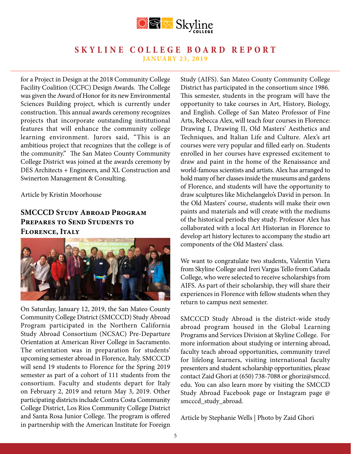

for a Project in Design at the 2018 Community College Facility Coalition (CCFC) Design Awards. The College was given the Award of Honor for its new Environmental Sciences Building project, which is currently under construction. This annual awards ceremony recognizes projects that incorporate outstanding institutional features that will enhance the community college learning environment. Jurors said, "This is an ambitious project that recognizes that the college is of the community." The San Mateo County Community College District was joined at the awards ceremony by DES Architects + Engineers, and XL Construction and Swinerton Management & Consulting.

Article by Kristin Moorhouse

# **SMCCCD Study Abroad Program PREPARES TO SEND STUDENTS TO Florence, Italy**



On Saturday, January 12, 2019, the San Mateo County Community College District (SMCCCD) Study Abroad Program participated in the Northern California Study Abroad Consortium (NCSAC) Pre-Departure Orientation at American River College in Sacramento. The orientation was in preparation for students' upcoming semester abroad in Florence, Italy. SMCCCD will send 19 students to Florence for the Spring 2019 semester as part of a cohort of 111 students from the consortium. Faculty and students depart for Italy on February 2, 2019 and return May 3, 2019. Other participating districts include Contra Costa Community College District, Los Rios Community College District and Santa Rosa Junior College. The program is offered in partnership with the American Institute for Foreign

Study (AIFS). San Mateo County Community College District has participated in the consortium since 1986. This semester, students in the program will have the opportunity to take courses in Art, History, Biology, and English. College of San Mateo Professor of Fine Arts, Rebecca Alex, will teach four courses in Florence: Drawing I, Drawing II, Old Masters' Aesthetics and Techniques, and Italian Life and Culture. Alex's art courses were very popular and filled early on. Students enrolled in her courses have expressed excitement to draw and paint in the home of the Renaissance and world-famous scientists and artists. Alex has arranged to hold many of her classes inside the museums and gardens of Florence, and students will have the opportunity to draw sculptures like Michelangelo's David in person. In the Old Masters' course, students will make their own paints and materials and will create with the mediums of the historical periods they study. Professor Alex has collaborated with a local Art Historian in Florence to develop art history lectures to accompany the studio art components of the Old Masters' class.

We want to congratulate two students, Valentin Viera from Skyline College and Ireri Vargas Tello from Cañada College, who were selected to receive scholarships from AIFS. As part of their scholarship, they will share their experiences in Florence with fellow students when they return to campus next semester.

SMCCCD Study Abroad is the district-wide study abroad program housed in the Global Learning Programs and Services Division at Skyline College. For more information about studying or interning abroad, faculty teach abroad opportunities, community travel for lifelong learners, visiting international faculty presenters and student scholarship opportunities, please contact Zaid Ghori at (650) 738-7088 or ghoriz@smccd. edu. You can also learn more by visiting the SMCCD Study Abroad Facebook page or Instagram page @ smcccd\_study\_abroad.

Article by Stephanie Wells | Photo by Zaid Ghori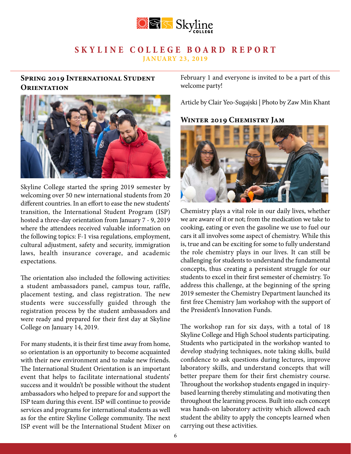

# **Spring 2019 International Student Orientation**



Skyline College started the spring 2019 semester by welcoming over 50 new international students from 20 different countries. In an effort to ease the new students' transition, the International Student Program (ISP) hosted a three-day orientation from January 7 - 9, 2019 where the attendees received valuable information on the following topics: F-1 visa regulations, employment, cultural adjustment, safety and security, immigration laws, health insurance coverage, and academic expectations.

The orientation also included the following activities: a student ambassadors panel, campus tour, raffle, placement testing, and class registration. The new students were successfully guided through the registration process by the student ambassadors and were ready and prepared for their first day at Skyline College on January 14, 2019.

For many students, it is their first time away from home, so orientation is an opportunity to become acquainted with their new environment and to make new friends. The International Student Orientation is an important event that helps to facilitate international students' success and it wouldn't be possible without the student ambassadors who helped to prepare for and support the ISP team during this event. ISP will continue to provide services and programs for international students as well as for the entire Skyline College community. The next ISP event will be the International Student Mixer on

February 1 and everyone is invited to be a part of this welcome party!

Article by Clair Yeo-Sugajski | Photo by Zaw Min Khant

### **Winter 2019 Chemistry Jam**



Chemistry plays a vital role in our daily lives, whether we are aware of it or not; from the medication we take to cooking, eating or even the gasoline we use to fuel our cars it all involves some aspect of chemistry. While this is, true and can be exciting for some to fully understand the role chemistry plays in our lives. It can still be challenging for students to understand the fundamental concepts, thus creating a persistent struggle for our students to excel in their first semester of chemistry. To address this challenge, at the beginning of the spring 2019 semester the Chemistry Department launched its first free Chemistry Jam workshop with the support of the President's Innovation Funds.

The workshop ran for six days, with a total of 18 Skyline College and High School students participating. Students who participated in the workshop wanted to develop studying techniques, note taking skills, build confidence to ask questions during lectures, improve laboratory skills, and understand concepts that will better prepare them for their first chemistry course. Throughout the workshop students engaged in inquirybased learning thereby stimulating and motivating then throughout the learning process. Built into each concept was hands-on laboratory activity which allowed each student the ability to apply the concepts learned when carrying out these activities.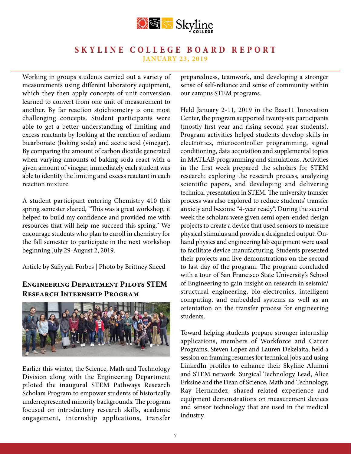

Working in groups students carried out a variety of measurements using different laboratory equipment, which they then apply concepts of unit conversion learned to convert from one unit of measurement to another. By far reaction stoichiometry is one most challenging concepts. Student participants were able to get a better understanding of limiting and excess reactants by looking at the reaction of sodium bicarbonate (baking soda) and acetic acid (vinegar). By comparing the amount of carbon dioxide generated when varying amounts of baking soda react with a given amount of vinegar, immediately each student was able to identity the limiting and excess reactant in each reaction mixture.

A student participant entering Chemistry 410 this spring semester shared, "This was a great workshop, it helped to build my confidence and provided me with resources that will help me succeed this spring." We encourage students who plan to enroll in chemistry for the fall semester to participate in the next workshop beginning July 29-August 2, 2019.

Article by Safiyyah Forbes | Photo by Brittney Sneed

# **Engineering Department Pilots STEM Research Internship Program**



Earlier this winter, the Science, Math and Technology Division along with the Engineering Department piloted the inaugural STEM Pathways Research Scholars Program to empower students of historically underrepresented minority backgrounds. The program focused on introductory research skills, academic engagement, internship applications, transfer preparedness, teamwork, and developing a stronger sense of self-reliance and sense of community within our campus STEM programs.

Held January 2-11, 2019 in the Base11 Innovation Center, the program supported twenty-six participants (mostly first year and rising second year students). Program activities helped students develop skills in electronics, microcontroller programming, signal conditioning, data acquisition and supplemental topics in MATLAB programming and simulations. Activities in the first week prepared the scholars for STEM research: exploring the research process, analyzing scientific papers, and developing and delivering technical presentation in STEM. The university transfer process was also explored to reduce students' transfer anxiety and become "4-year ready". During the second week the scholars were given semi open-ended design projects to create a device that used sensors to measure physical stimulus and provide a designated output. Onhand physics and engineering lab equipment were used to facilitate device manufacturing. Students presented their projects and live demonstrations on the second to last day of the program. The program concluded with a tour of San Francisco State University's School of Engineering to gain insight on research in seismic/ structural engineering, bio-electronics, intelligent computing, and embedded systems as well as an orientation on the transfer process for engineering students.

Toward helping students prepare stronger internship applications, members of Workforce and Career Programs, Steven Lopez and Lauren Dekelaita, held a session on framing resumes for technical jobs and using LinkedIn profiles to enhance their Skyline Alumni and STEM network. Surgical Technology Lead, Alice Erksine and the Dean of Science, Math and Technology, Ray Hernandez, shared related experience and equipment demonstrations on measurement devices and sensor technology that are used in the medical industry.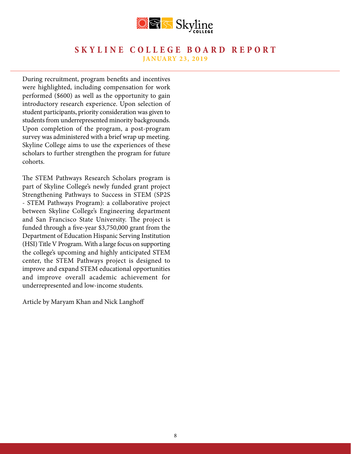

During recruitment, program benefits and incentives were highlighted, including compensation for work performed (\$600) as well as the opportunity to gain introductory research experience. Upon selection of student participants, priority consideration was given to students from underrepresented minority backgrounds. Upon completion of the program, a post-program survey was administered with a brief wrap up meeting. Skyline College aims to use the experiences of these scholars to further strengthen the program for future cohorts.

The STEM Pathways Research Scholars program is part of Skyline College's newly funded grant project Strengthening Pathways to Success in STEM (SP2S - STEM Pathways Program): a collaborative project between Skyline College's Engineering department and San Francisco State University. The project is funded through a five-year \$3,750,000 grant from the Department of Education Hispanic Serving Institution (HSI) Title V Program. With a large focus on supporting the college's upcoming and highly anticipated STEM center, the STEM Pathways project is designed to improve and expand STEM educational opportunities and improve overall academic achievement for underrepresented and low-income students.

Article by Maryam Khan and Nick Langhoff